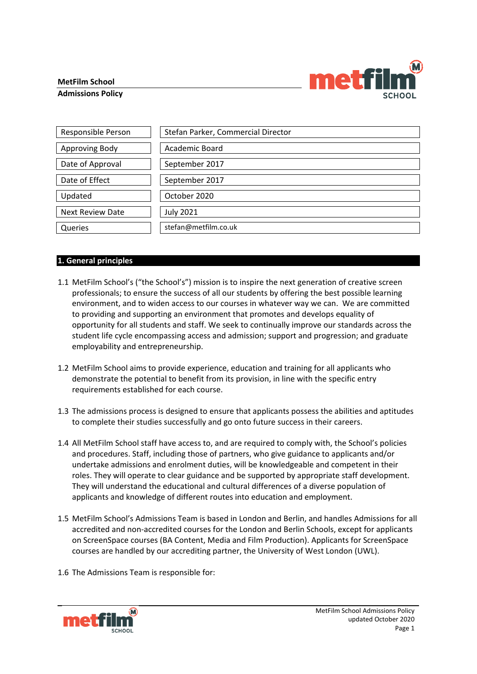## **MetFilm School**





| Responsible Person      | Stefan Parker, Commercial Director |
|-------------------------|------------------------------------|
| Approving Body          | Academic Board                     |
| Date of Approval        | September 2017                     |
| Date of Effect          | September 2017                     |
| Updated                 | October 2020                       |
| <b>Next Review Date</b> | <b>July 2021</b>                   |
| Queries                 | stefan@metfilm.co.uk               |

## **1. General principles**

- 1.1 MetFilm School's ("the School's") mission is to inspire the next generation of creative screen professionals; to ensure the success of all our students by offering the best possible learning environment, and to widen access to our courses in whatever way we can. We are committed to providing and supporting an environment that promotes and develops equality of opportunity for all students and staff. We seek to continually improve our standards across the student life cycle encompassing access and admission; support and progression; and graduate employability and entrepreneurship.
- 1.2 MetFilm School aims to provide experience, education and training for all applicants who demonstrate the potential to benefit from its provision, in line with the specific entry requirements established for each course.
- 1.3 The admissions process is designed to ensure that applicants possess the abilities and aptitudes to complete their studies successfully and go onto future success in their careers.
- 1.4 All MetFilm School staff have access to, and are required to comply with, the School's policies and procedures. Staff, including those of partners, who give guidance to applicants and/or undertake admissions and enrolment duties, will be knowledgeable and competent in their roles. They will operate to clear guidance and be supported by appropriate staff development. They will understand the educational and cultural differences of a diverse population of applicants and knowledge of different routes into education and employment.
- 1.5 MetFilm School's Admissions Team is based in London and Berlin, and handles Admissions for all accredited and non-accredited courses for the London and Berlin Schools, except for applicants on ScreenSpace courses (BA Content, Media and Film Production). Applicants for ScreenSpace courses are handled by our accrediting partner, the University of West London (UWL).
- 1.6 The Admissions Team is responsible for:

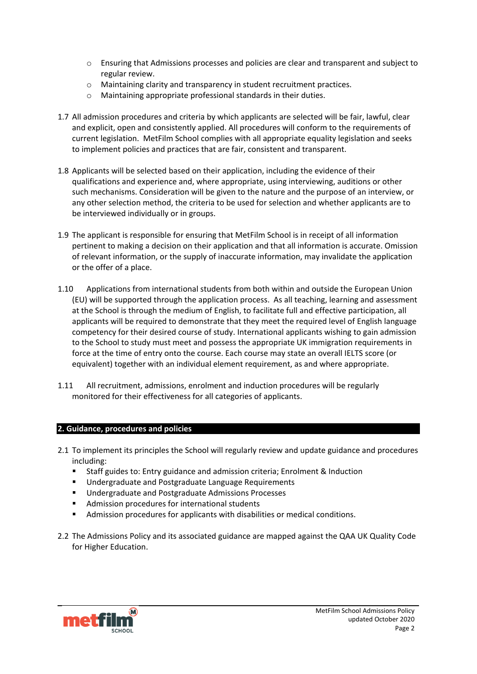- o Ensuring that Admissions processes and policies are clear and transparent and subject to regular review.
- o Maintaining clarity and transparency in student recruitment practices.
- o Maintaining appropriate professional standards in their duties.
- 1.7 All admission procedures and criteria by which applicants are selected will be fair, lawful, clear and explicit, open and consistently applied. All procedures will conform to the requirements of current legislation. MetFilm School complies with all appropriate equality legislation and seeks to implement policies and practices that are fair, consistent and transparent.
- 1.8 Applicants will be selected based on their application, including the evidence of their qualifications and experience and, where appropriate, using interviewing, auditions or other such mechanisms. Consideration will be given to the nature and the purpose of an interview, or any other selection method, the criteria to be used for selection and whether applicants are to be interviewed individually or in groups.
- 1.9 The applicant is responsible for ensuring that MetFilm School is in receipt of all information pertinent to making a decision on their application and that all information is accurate. Omission of relevant information, or the supply of inaccurate information, may invalidate the application or the offer of a place.
- 1.10 Applications from international students from both within and outside the European Union (EU) will be supported through the application process. As all teaching, learning and assessment at the School is through the medium of English, to facilitate full and effective participation, all applicants will be required to demonstrate that they meet the required level of English language competency for their desired course of study. International applicants wishing to gain admission to the School to study must meet and possess the appropriate UK immigration requirements in force at the time of entry onto the course. Each course may state an overall IELTS score (or equivalent) together with an individual element requirement, as and where appropriate.
- 1.11 All recruitment, admissions, enrolment and induction procedures will be regularly monitored for their effectiveness for all categories of applicants.

## **2. Guidance, procedures and policies**

- 2.1 To implement its principles the School will regularly review and update guidance and procedures including:
	- Staff guides to: Entry guidance and admission criteria; Enrolment & Induction
	- **Undergraduate and Postgraduate Language Requirements**
	- **■** Undergraduate and Postgraduate Admissions Processes
	- **Admission procedures for international students**
	- Admission procedures for applicants with disabilities or medical conditions.
- 2.2 The Admissions Policy and its associated guidance are mapped against the QAA UK Quality Code for Higher Education.

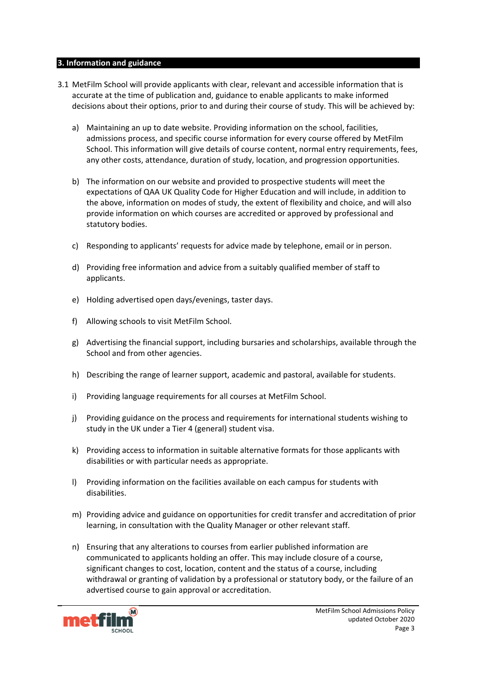#### **3. Information and guidance**

- 3.1 MetFilm School will provide applicants with clear, relevant and accessible information that is accurate at the time of publication and, guidance to enable applicants to make informed decisions about their options, prior to and during their course of study. This will be achieved by:
	- a) Maintaining an up to date website. Providing information on the school, facilities, admissions process, and specific course information for every course offered by MetFilm School. This information will give details of course content, normal entry requirements, fees, any other costs, attendance, duration of study, location, and progression opportunities.
	- b) The information on our website and provided to prospective students will meet the expectations of QAA UK Quality Code for Higher Education and will include, in addition to the above, information on modes of study, the extent of flexibility and choice, and will also provide information on which courses are accredited or approved by professional and statutory bodies.
	- c) Responding to applicants' requests for advice made by telephone, email or in person.
	- d) Providing free information and advice from a suitably qualified member of staff to applicants.
	- e) Holding advertised open days/evenings, taster days.
	- f) Allowing schools to visit MetFilm School.
	- g) Advertising the financial support, including bursaries and scholarships, available through the School and from other agencies.
	- h) Describing the range of learner support, academic and pastoral, available for students.
	- i) Providing language requirements for all courses at MetFilm School.
	- j) Providing guidance on the process and requirements for international students wishing to study in the UK under a Tier 4 (general) student visa.
	- k) Providing access to information in suitable alternative formats for those applicants with disabilities or with particular needs as appropriate.
	- l) Providing information on the facilities available on each campus for students with disabilities.
	- m) Providing advice and guidance on opportunities for credit transfer and accreditation of prior learning, in consultation with the Quality Manager or other relevant staff.
	- n) Ensuring that any alterations to courses from earlier published information are communicated to applicants holding an offer. This may include closure of a course, significant changes to cost, location, content and the status of a course, including withdrawal or granting of validation by a professional or statutory body, or the failure of an advertised course to gain approval or accreditation.

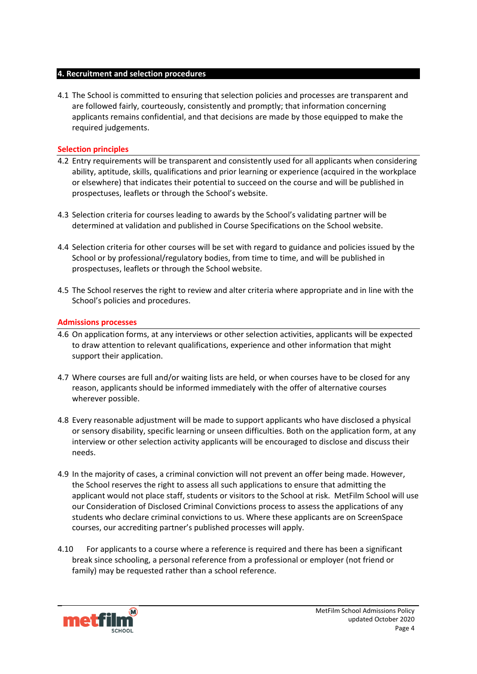#### **4. Recruitment and selection procedures**

4.1 The School is committed to ensuring that selection policies and processes are transparent and are followed fairly, courteously, consistently and promptly; that information concerning applicants remains confidential, and that decisions are made by those equipped to make the required judgements.

## **Selection principles**

- 4.2 Entry requirements will be transparent and consistently used for all applicants when considering ability, aptitude, skills, qualifications and prior learning or experience (acquired in the workplace or elsewhere) that indicates their potential to succeed on the course and will be published in prospectuses, leaflets or through the School's website.
- 4.3 Selection criteria for courses leading to awards by the School's validating partner will be determined at validation and published in Course Specifications on the School website.
- 4.4 Selection criteria for other courses will be set with regard to guidance and policies issued by the School or by professional/regulatory bodies, from time to time, and will be published in prospectuses, leaflets or through the School website.
- 4.5 The School reserves the right to review and alter criteria where appropriate and in line with the School's policies and procedures.

## **Admissions processes**

- 4.6 On application forms, at any interviews or other selection activities, applicants will be expected to draw attention to relevant qualifications, experience and other information that might support their application.
- 4.7 Where courses are full and/or waiting lists are held, or when courses have to be closed for any reason, applicants should be informed immediately with the offer of alternative courses wherever possible.
- 4.8 Every reasonable adjustment will be made to support applicants who have disclosed a physical or sensory disability, specific learning or unseen difficulties. Both on the application form, at any interview or other selection activity applicants will be encouraged to disclose and discuss their needs.
- 4.9 In the majority of cases, a criminal conviction will not prevent an offer being made. However, the School reserves the right to assess all such applications to ensure that admitting the applicant would not place staff, students or visitors to the School at risk. MetFilm School will use our Consideration of Disclosed Criminal Convictions process to assess the applications of any students who declare criminal convictions to us. Where these applicants are on ScreenSpace courses, our accrediting partner's published processes will apply.
- 4.10 For applicants to a course where a reference is required and there has been a significant break since schooling, a personal reference from a professional or employer (not friend or family) may be requested rather than a school reference.

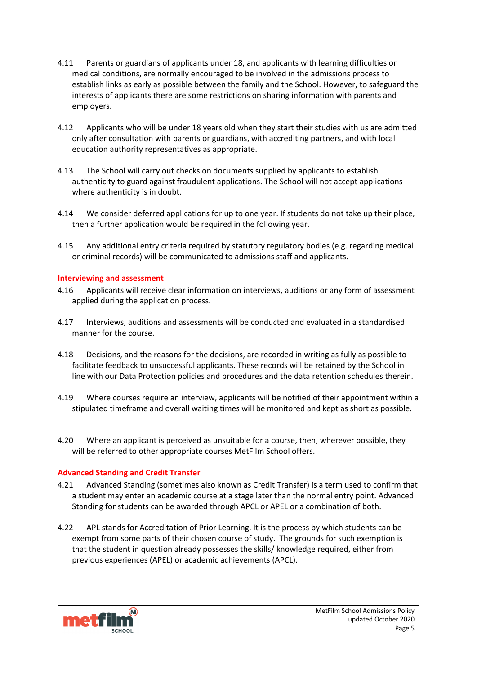- 4.11 Parents or guardians of applicants under 18, and applicants with learning difficulties or medical conditions, are normally encouraged to be involved in the admissions process to establish links as early as possible between the family and the School. However, to safeguard the interests of applicants there are some restrictions on sharing information with parents and employers.
- 4.12 Applicants who will be under 18 years old when they start their studies with us are admitted only after consultation with parents or guardians, with accrediting partners, and with local education authority representatives as appropriate.
- 4.13 The School will carry out checks on documents supplied by applicants to establish authenticity to guard against fraudulent applications. The School will not accept applications where authenticity is in doubt.
- 4.14 We consider deferred applications for up to one year. If students do not take up their place, then a further application would be required in the following year.
- 4.15 Any additional entry criteria required by statutory regulatory bodies (e.g. regarding medical or criminal records) will be communicated to admissions staff and applicants.

#### **Interviewing and assessment**

- 4.16 Applicants will receive clear information on interviews, auditions or any form of assessment applied during the application process.
- 4.17 Interviews, auditions and assessments will be conducted and evaluated in a standardised manner for the course.
- 4.18 Decisions, and the reasons for the decisions, are recorded in writing as fully as possible to facilitate feedback to unsuccessful applicants. These records will be retained by the School in line with our Data Protection policies and procedures and the data retention schedules therein.
- 4.19 Where courses require an interview, applicants will be notified of their appointment within a stipulated timeframe and overall waiting times will be monitored and kept as short as possible.
- 4.20 Where an applicant is perceived as unsuitable for a course, then, wherever possible, they will be referred to other appropriate courses MetFilm School offers.

## **Advanced Standing and Credit Transfer**

- 4.21 Advanced Standing (sometimes also known as Credit Transfer) is a term used to confirm that a student may enter an academic course at a stage later than the normal entry point. Advanced Standing for students can be awarded through APCL or APEL or a combination of both.
- 4.22 APL stands for Accreditation of Prior Learning. It is the process by which students can be exempt from some parts of their chosen course of study. The grounds for such exemption is that the student in question already possesses the skills/ knowledge required, either from previous experiences (APEL) or academic achievements (APCL).

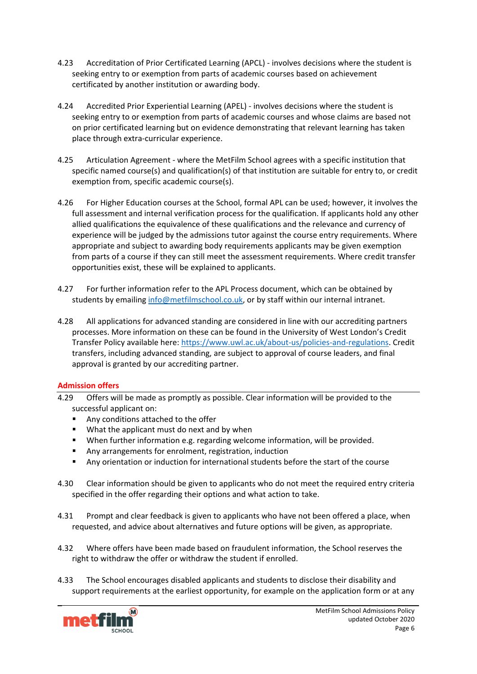- 4.23 Accreditation of Prior Certificated Learning (APCL) involves decisions where the student is seeking entry to or exemption from parts of academic courses based on achievement certificated by another institution or awarding body.
- 4.24 Accredited Prior Experiential Learning (APEL) involves decisions where the student is seeking entry to or exemption from parts of academic courses and whose claims are based not on prior certificated learning but on evidence demonstrating that relevant learning has taken place through extra-curricular experience.
- 4.25 Articulation Agreement where the MetFilm School agrees with a specific institution that specific named course(s) and qualification(s) of that institution are suitable for entry to, or credit exemption from, specific academic course(s).
- 4.26 For Higher Education courses at the School, formal APL can be used; however, it involves the full assessment and internal verification process for the qualification. If applicants hold any other allied qualifications the equivalence of these qualifications and the relevance and currency of experience will be judged by the admissions tutor against the course entry requirements. Where appropriate and subject to awarding body requirements applicants may be given exemption from parts of a course if they can still meet the assessment requirements. Where credit transfer opportunities exist, these will be explained to applicants.
- 4.27 For further information refer to the APL Process document, which can be obtained by students by emailing [info@metfilmschool.co.uk,](mailto:info@metfilmschool.co.uk) or by staff within our internal intranet.
- 4.28 All applications for advanced standing are considered in line with our accrediting partners processes. More information on these can be found in the University of West London's Credit Transfer Policy available here: [https://www.uwl.ac.uk/about-us/policies-and-regulations.](https://www.uwl.ac.uk/about-us/policies-and-regulations) Credit transfers, including advanced standing, are subject to approval of course leaders, and final approval is granted by our accrediting partner.

## **Admission offers**

- 4.29 Offers will be made as promptly as possible. Clear information will be provided to the successful applicant on:
	- Any conditions attached to the offer
	- **What the applicant must do next and by when**
	- When further information e.g. regarding welcome information, will be provided.
	- Any arrangements for enrolment, registration, induction
	- Any orientation or induction for international students before the start of the course
- 4.30 Clear information should be given to applicants who do not meet the required entry criteria specified in the offer regarding their options and what action to take.
- 4.31 Prompt and clear feedback is given to applicants who have not been offered a place, when requested, and advice about alternatives and future options will be given, as appropriate.
- 4.32 Where offers have been made based on fraudulent information, the School reserves the right to withdraw the offer or withdraw the student if enrolled.
- 4.33 The School encourages disabled applicants and students to disclose their disability and support requirements at the earliest opportunity, for example on the application form or at any

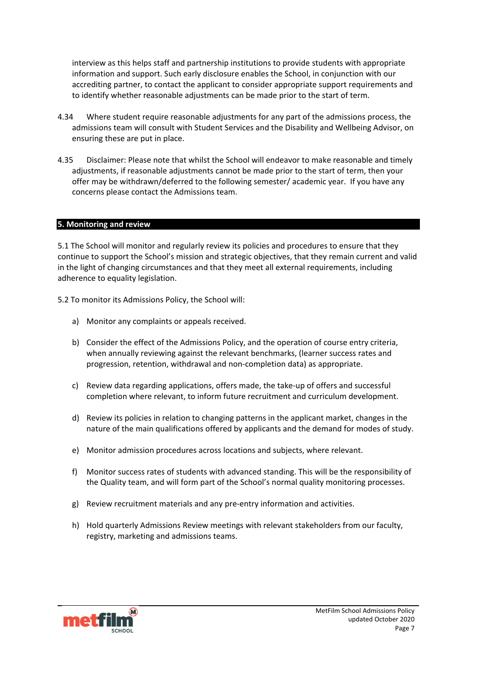interview as this helps staff and partnership institutions to provide students with appropriate information and support. Such early disclosure enables the School, in conjunction with our accrediting partner, to contact the applicant to consider appropriate support requirements and to identify whether reasonable adjustments can be made prior to the start of term.

- 4.34 Where student require reasonable adjustments for any part of the admissions process, the admissions team will consult with Student Services and the Disability and Wellbeing Advisor, on ensuring these are put in place.
- 4.35 Disclaimer: Please note that whilst the School will endeavor to make reasonable and timely adjustments, if reasonable adjustments cannot be made prior to the start of term, then your offer may be withdrawn/deferred to the following semester/ academic year. If you have any concerns please contact the Admissions team.

#### **5. Monitoring and review**

5.1 The School will monitor and regularly review its policies and procedures to ensure that they continue to support the School's mission and strategic objectives, that they remain current and valid in the light of changing circumstances and that they meet all external requirements, including adherence to equality legislation.

5.2 To monitor its Admissions Policy, the School will:

- a) Monitor any complaints or appeals received.
- b) Consider the effect of the Admissions Policy, and the operation of course entry criteria, when annually reviewing against the relevant benchmarks, (learner success rates and progression, retention, withdrawal and non-completion data) as appropriate.
- c) Review data regarding applications, offers made, the take-up of offers and successful completion where relevant, to inform future recruitment and curriculum development.
- d) Review its policies in relation to changing patterns in the applicant market, changes in the nature of the main qualifications offered by applicants and the demand for modes of study.
- e) Monitor admission procedures across locations and subjects, where relevant.
- f) Monitor success rates of students with advanced standing. This will be the responsibility of the Quality team, and will form part of the School's normal quality monitoring processes.
- g) Review recruitment materials and any pre-entry information and activities.
- h) Hold quarterly Admissions Review meetings with relevant stakeholders from our faculty, registry, marketing and admissions teams.

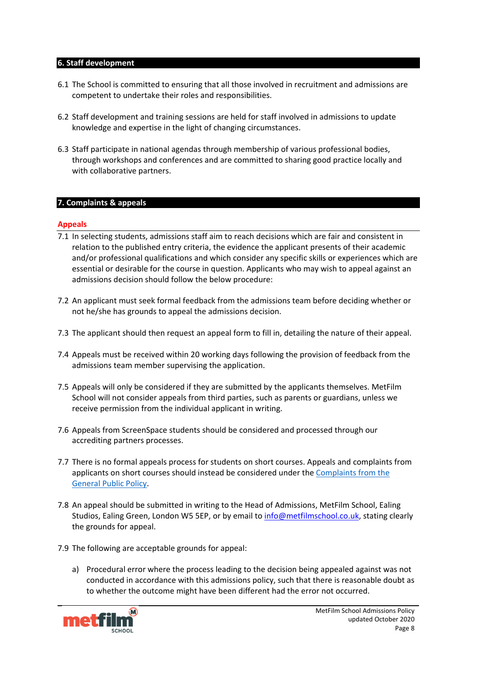#### **6. Staff development**

- 6.1 The School is committed to ensuring that all those involved in recruitment and admissions are competent to undertake their roles and responsibilities.
- 6.2 Staff development and training sessions are held for staff involved in admissions to update knowledge and expertise in the light of changing circumstances.
- 6.3 Staff participate in national agendas through membership of various professional bodies, through workshops and conferences and are committed to sharing good practice locally and with collaborative partners.

#### **7. Complaints & appeals**

#### **Appeals**

- 7.1 In selecting students, admissions staff aim to reach decisions which are fair and consistent in relation to the published entry criteria, the evidence the applicant presents of their academic and/or professional qualifications and which consider any specific skills or experiences which are essential or desirable for the course in question. Applicants who may wish to appeal against an admissions decision should follow the below procedure:
- 7.2 An applicant must seek formal feedback from the admissions team before deciding whether or not he/she has grounds to appeal the admissions decision.
- 7.3 The applicant should then request an appeal form to fill in, detailing the nature of their appeal.
- 7.4 Appeals must be received within 20 working days following the provision of feedback from the admissions team member supervising the application.
- 7.5 Appeals will only be considered if they are submitted by the applicants themselves. MetFilm School will not consider appeals from third parties, such as parents or guardians, unless we receive permission from the individual applicant in writing.
- 7.6 Appeals from ScreenSpace students should be considered and processed through our accrediting partners processes.
- 7.7 There is no formal appeals process for students on short courses. Appeals and complaints from applicants on short courses should instead be considered under the Complaints from the [General Public Policy.](https://www.metfilmschool.ac.uk/whymetfilm/homewhymetfilmschool/policies-key-documents/#CMOGP)
- 7.8 An appeal should be submitted in writing to the Head of Admissions, MetFilm School, Ealing Studios, Ealing Green, London W5 5EP, or by email to info@metfilmschool.co.uk, stating clearly the grounds for appeal.
- 7.9 The following are acceptable grounds for appeal:
	- a) Procedural error where the process leading to the decision being appealed against was not conducted in accordance with this admissions policy, such that there is reasonable doubt as to whether the outcome might have been different had the error not occurred.

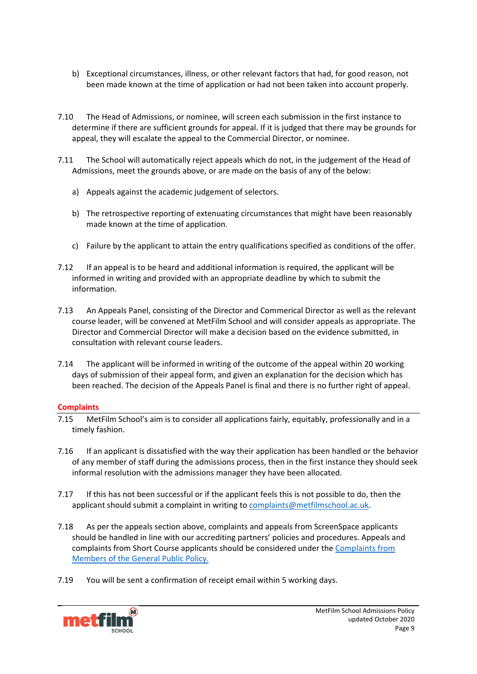- b) Exceptional circumstances, illness, or other relevant factors that had, for good reason, not been made known at the time of application or had not been taken into account properly.
- 7.10 The Head of Admissions, or nominee, will screen each submission in the first instance to determine if there are sufficient grounds for appeal. If it is judged that there may be grounds for appeal, they will escalate the appeal to the Commercial Director, or nominee.
- 7.11 The School will automatically reject appeals which do not, in the judgement of the Head of Admissions, meet the grounds above, or are made on the basis of any of the below:
	- a) Appeals against the academic judgement of selectors.
	- b) The retrospective reporting of extenuating circumstances that might have been reasonably made known at the time of application.
	- c) Failure by the applicant to attain the entry qualifications specified as conditions of the offer.
- 7.12 If an appeal is to be heard and additional information is required, the applicant will be informed in writing and provided with an appropriate deadline by which to submit the information.
- 7.13 An Appeals Panel, consisting of the Director and Commerical Director as well as the relevant course leader, will be convened at MetFilm School and will consider appeals as appropriate. The Director and Commercial Director will make a decision based on the evidence submitted, in consultation with relevant course leaders.
- 7.14 The applicant will be informed in writing of the outcome of the appeal within 20 working days of submission of their appeal form, and given an explanation for the decision which has been reached. The decision of the Appeals Panel is final and there is no further right of appeal.

# **Complaints**

- 7.15 MetFilm School's aim is to consider all applications fairly, equitably, professionally and in a timely fashion.
- 7.16 If an applicant is dissatisfied with the way their application has been handled or the behavior of any member of staff during the admissions process, then in the first instance they should seek informal resolution with the admissions manager they have been allocated.
- 7.17 If this has not been successful or if the applicant feels this is not possible to do, then the applicant should submit a complaint in writing to [complaints@metfilmschool.ac.uk.](mailto:complaints@metfilmschool.ac.uk)
- 7.18 As per the appeals section above, complaints and appeals from ScreenSpace applicants should be handled in line with our accrediting partners' policies and procedures. Appeals and complaints from Short Course applicants should be considered under th[e Complaints from](https://www.metfilmschool.ac.uk/whymetfilm/homewhymetfilmschool/policies-key-documents/#CMOGP)  [Members of the General Public Policy.](https://www.metfilmschool.ac.uk/whymetfilm/homewhymetfilmschool/policies-key-documents/#CMOGP)
- 7.19 You will be sent a confirmation of receipt email within 5 working days.

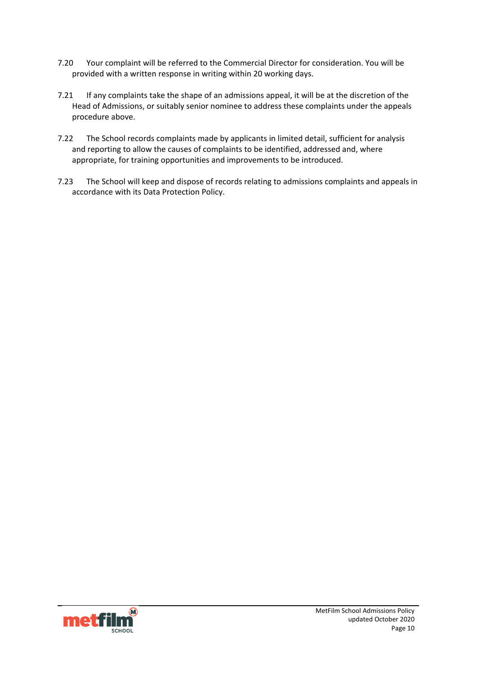- 7.20 Your complaint will be referred to the Commercial Director for consideration. You will be provided with a written response in writing within 20 working days.
- 7.21 If any complaints take the shape of an admissions appeal, it will be at the discretion of the Head of Admissions, or suitably senior nominee to address these complaints under the appeals procedure above.
- 7.22 The School records complaints made by applicants in limited detail, sufficient for analysis and reporting to allow the causes of complaints to be identified, addressed and, where appropriate, for training opportunities and improvements to be introduced.
- 7.23 The School will keep and dispose of records relating to admissions complaints and appeals in accordance with its Data Protection Policy.

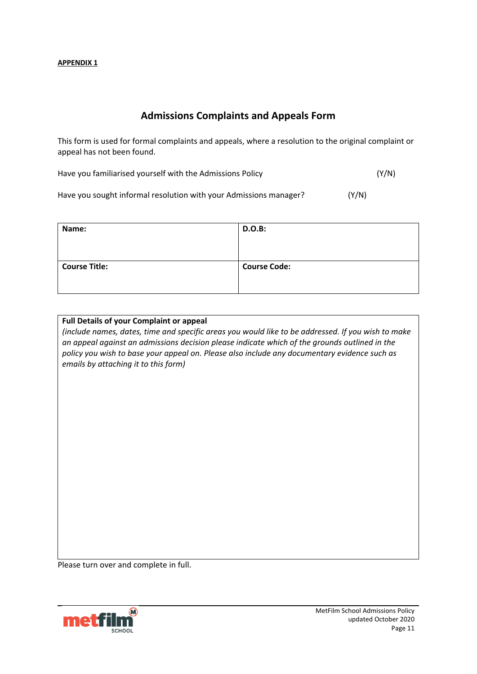# **Admissions Complaints and Appeals Form**

This form is used for formal complaints and appeals, where a resolution to the original complaint or appeal has not been found.

Have you familiarised yourself with the Admissions Policy (Y/N)

Have you sought informal resolution with your Admissions manager? (Y/N)

| Name:                | <b>D.O.B:</b>       |
|----------------------|---------------------|
| <b>Course Title:</b> | <b>Course Code:</b> |

### **Full Details of your Complaint or appeal**

*(include names, dates, time and specific areas you would like to be addressed. If you wish to make an appeal against an admissions decision please indicate which of the grounds outlined in the policy you wish to base your appeal on. Please also include any documentary evidence such as emails by attaching it to this form)*

Please turn over and complete in full.